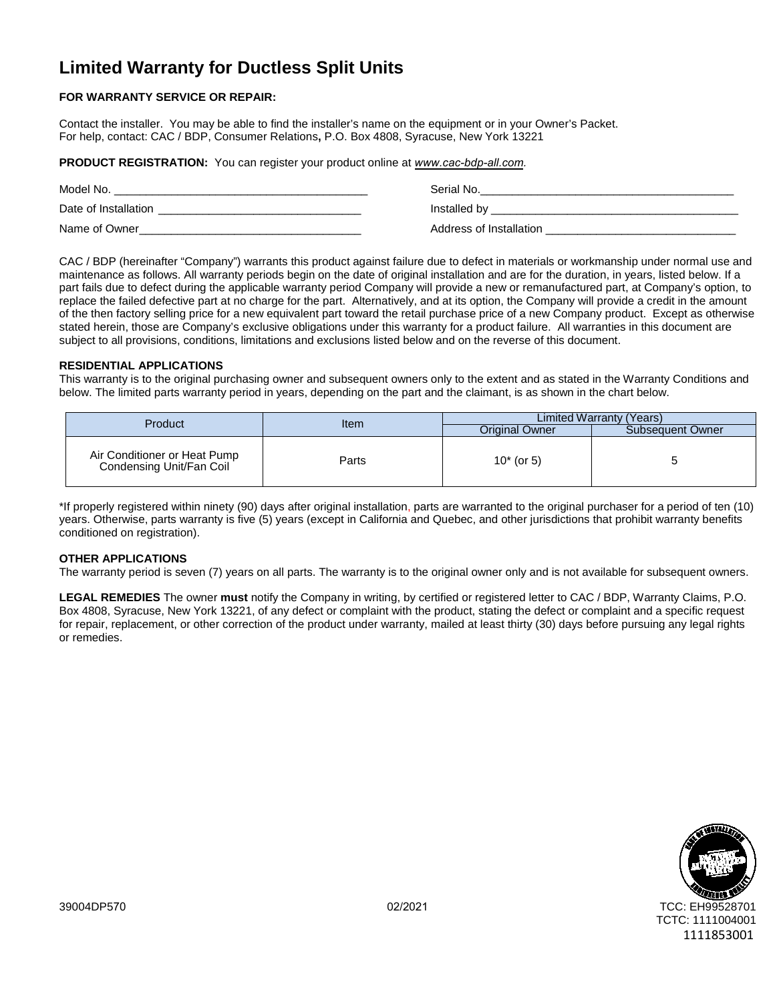# **Limited Warranty for Ductless Split Units**

# **FOR WARRANTY SERVICE OR REPAIR:**

Contact the installer. You may be able to find the installer's name on the equipment or in your Owner's Packet. For help, contact: CAC / BDP, Consumer Relations**,** P.O. Box 4808, Syracuse, New York 13221

**PRODUCT REGISTRATION:** You can register your product online at *[www.cac-bdp-all.com](https://www.cac-bdp-all.com/).*

| Model No.            | Serial No.              |
|----------------------|-------------------------|
| Date of Installation | Installed by            |
| Name of Owner        | Address of Installation |

CAC / BDP (hereinafter "Company") warrants this product against failure due to defect in materials or workmanship under normal use and maintenance as follows. All warranty periods begin on the date of original installation and are for the duration, in years, listed below. If a part fails due to defect during the applicable warranty period Company will provide a new or remanufactured part, at Company's option, to replace the failed defective part at no charge for the part. Alternatively, and at its option, the Company will provide a credit in the amount of the then factory selling price for a new equivalent part toward the retail purchase price of a new Company product. Except as otherwise stated herein, those are Company's exclusive obligations under this warranty for a product failure. All warranties in this document are subject to all provisions, conditions, limitations and exclusions listed below and on the reverse of this document.

## **RESIDENTIAL APPLICATIONS**

This warranty is to the original purchasing owner and subsequent owners only to the extent and as stated in the Warranty Conditions and below. The limited parts warranty period in years, depending on the part and the claimant, is as shown in the chart below.

| Product                                                  | Item  | Limited Warranty (Years) |                  |
|----------------------------------------------------------|-------|--------------------------|------------------|
|                                                          |       | Original Owner           | Subsequent Owner |
| Air Conditioner or Heat Pump<br>Condensing Unit/Fan Coil | Parts | $10*$ (or 5)             |                  |

\*If properly registered within ninety (90) days after original installation, parts are warranted to the original purchaser for a period of ten (10) years. Otherwise, parts warranty is five (5) years (except in California and Quebec, and other jurisdictions that prohibit warranty benefits conditioned on registration).

# **OTHER APPLICATIONS**

The warranty period is seven (7) years on all parts. The warranty is to the original owner only and is not available for subsequent owners.

**LEGAL REMEDIES** The owner **must** notify the Company in writing, by certified or registered letter to CAC / BDP, Warranty Claims, P.O. Box 4808, Syracuse, New York 13221, of any defect or complaint with the product, stating the defect or complaint and a specific request for repair, replacement, or other correction of the product under warranty, mailed at least thirty (30) days before pursuing any legal rights or remedies.